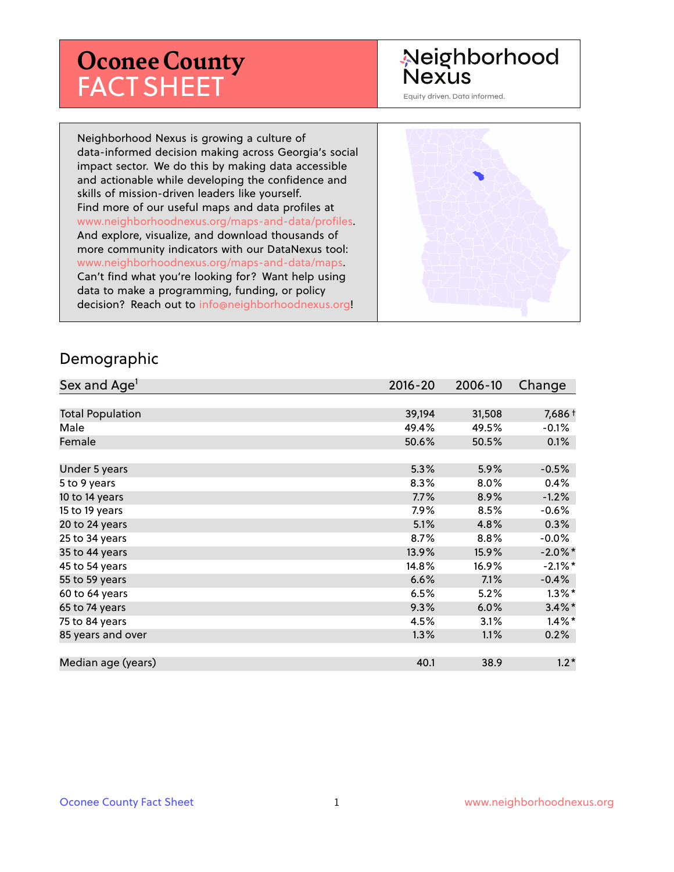# **Oconee County** FACT SHEET

## Neighborhood **Nexus**

Equity driven. Data informed.

Neighborhood Nexus is growing a culture of data-informed decision making across Georgia's social impact sector. We do this by making data accessible and actionable while developing the confidence and skills of mission-driven leaders like yourself. Find more of our useful maps and data profiles at www.neighborhoodnexus.org/maps-and-data/profiles. And explore, visualize, and download thousands of more community indicators with our DataNexus tool: www.neighborhoodnexus.org/maps-and-data/maps. Can't find what you're looking for? Want help using data to make a programming, funding, or policy decision? Reach out to [info@neighborhoodnexus.org!](mailto:info@neighborhoodnexus.org)



#### Demographic

| Sex and Age <sup>1</sup> | $2016 - 20$ | 2006-10 | Change     |
|--------------------------|-------------|---------|------------|
|                          |             |         |            |
| <b>Total Population</b>  | 39,194      | 31,508  | 7,686+     |
| Male                     | 49.4%       | 49.5%   | $-0.1%$    |
| Female                   | 50.6%       | 50.5%   | 0.1%       |
|                          |             |         |            |
| Under 5 years            | 5.3%        | 5.9%    | $-0.5%$    |
| 5 to 9 years             | 8.3%        | 8.0%    | 0.4%       |
| 10 to 14 years           | 7.7%        | 8.9%    | $-1.2%$    |
| 15 to 19 years           | 7.9%        | 8.5%    | $-0.6%$    |
| 20 to 24 years           | 5.1%        | 4.8%    | 0.3%       |
| 25 to 34 years           | 8.7%        | 8.8%    | $-0.0\%$   |
| 35 to 44 years           | 13.9%       | 15.9%   | $-2.0\%$ * |
| 45 to 54 years           | 14.8%       | 16.9%   | $-2.1\%$ * |
| 55 to 59 years           | 6.6%        | 7.1%    | $-0.4%$    |
| 60 to 64 years           | 6.5%        | 5.2%    | $1.3\%$ *  |
| 65 to 74 years           | 9.3%        | 6.0%    | $3.4\%$ *  |
| 75 to 84 years           | 4.5%        | 3.1%    | $1.4\%$ *  |
| 85 years and over        | 1.3%        | 1.1%    | 0.2%       |
|                          |             |         |            |
| Median age (years)       | 40.1        | 38.9    | $1.2*$     |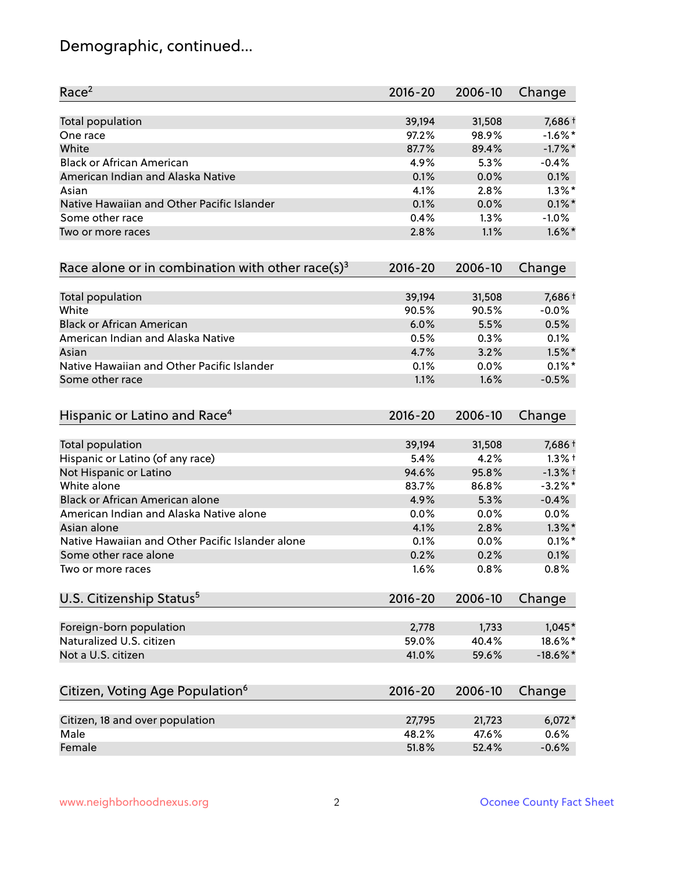## Demographic, continued...

| Race <sup>2</sup>                                            | $2016 - 20$ | 2006-10 | Change      |
|--------------------------------------------------------------|-------------|---------|-------------|
| <b>Total population</b>                                      | 39,194      | 31,508  | 7,686 +     |
| One race                                                     | 97.2%       | 98.9%   | $-1.6\%$ *  |
| White                                                        | 87.7%       | 89.4%   | $-1.7%$ *   |
| <b>Black or African American</b>                             | 4.9%        | 5.3%    | $-0.4%$     |
| American Indian and Alaska Native                            | 0.1%        | 0.0%    | 0.1%        |
| Asian                                                        | 4.1%        | 2.8%    | $1.3\%$ *   |
| Native Hawaiian and Other Pacific Islander                   | 0.1%        | 0.0%    | $0.1\%$ *   |
| Some other race                                              | 0.4%        | 1.3%    | $-1.0%$     |
| Two or more races                                            | 2.8%        | 1.1%    | $1.6\%$ *   |
| Race alone or in combination with other race(s) <sup>3</sup> | $2016 - 20$ | 2006-10 | Change      |
| Total population                                             | 39,194      | 31,508  | 7,686+      |
| White                                                        | 90.5%       | 90.5%   | $-0.0%$     |
| <b>Black or African American</b>                             | 6.0%        | 5.5%    | 0.5%        |
| American Indian and Alaska Native                            | 0.5%        | 0.3%    | 0.1%        |
| Asian                                                        | 4.7%        | 3.2%    | $1.5\%$ *   |
| Native Hawaiian and Other Pacific Islander                   | 0.1%        | 0.0%    | $0.1\%$ *   |
| Some other race                                              | 1.1%        | 1.6%    | $-0.5%$     |
| Hispanic or Latino and Race <sup>4</sup>                     | $2016 - 20$ | 2006-10 | Change      |
| Total population                                             | 39,194      | 31,508  | 7,686+      |
| Hispanic or Latino (of any race)                             | 5.4%        | 4.2%    | $1.3%$ †    |
| Not Hispanic or Latino                                       | 94.6%       | 95.8%   | $-1.3%$ †   |
| White alone                                                  | 83.7%       | 86.8%   | $-3.2%$ *   |
| Black or African American alone                              | 4.9%        | 5.3%    | $-0.4%$     |
| American Indian and Alaska Native alone                      | $0.0\%$     | 0.0%    | 0.0%        |
| Asian alone                                                  | 4.1%        | 2.8%    | $1.3\%$ *   |
| Native Hawaiian and Other Pacific Islander alone             | 0.1%        | 0.0%    | $0.1\%$ *   |
| Some other race alone                                        | 0.2%        | 0.2%    | 0.1%        |
| Two or more races                                            | 1.6%        | 0.8%    | 0.8%        |
| U.S. Citizenship Status <sup>5</sup>                         | $2016 - 20$ | 2006-10 | Change      |
| Foreign-born population                                      | 2,778       | 1,733   | $1,045*$    |
| Naturalized U.S. citizen                                     | 59.0%       | 40.4%   | 18.6%*      |
| Not a U.S. citizen                                           | 41.0%       | 59.6%   | $-18.6\%$ * |
|                                                              | $2016 - 20$ | 2006-10 |             |
| Citizen, Voting Age Population <sup>6</sup>                  |             |         | Change      |
| Citizen, 18 and over population                              | 27,795      | 21,723  | $6,072*$    |
| Male                                                         | 48.2%       | 47.6%   | 0.6%        |
| Female                                                       | 51.8%       | 52.4%   | $-0.6%$     |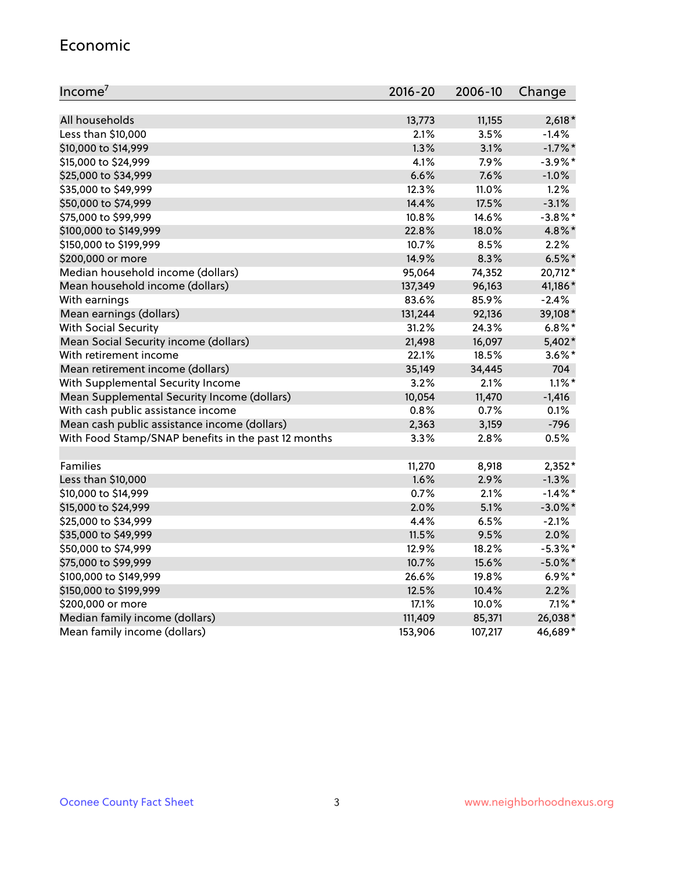#### Economic

| Income <sup>7</sup>                                 | $2016 - 20$ | 2006-10 | Change     |
|-----------------------------------------------------|-------------|---------|------------|
|                                                     |             |         |            |
| All households                                      | 13,773      | 11,155  | $2,618*$   |
| Less than \$10,000                                  | 2.1%        | 3.5%    | $-1.4%$    |
| \$10,000 to \$14,999                                | 1.3%        | 3.1%    | $-1.7\%$ * |
| \$15,000 to \$24,999                                | 4.1%        | 7.9%    | $-3.9\%$ * |
| \$25,000 to \$34,999                                | 6.6%        | 7.6%    | $-1.0%$    |
| \$35,000 to \$49,999                                | 12.3%       | 11.0%   | 1.2%       |
| \$50,000 to \$74,999                                | 14.4%       | 17.5%   | $-3.1%$    |
| \$75,000 to \$99,999                                | 10.8%       | 14.6%   | $-3.8\%$ * |
| \$100,000 to \$149,999                              | 22.8%       | 18.0%   | 4.8%*      |
| \$150,000 to \$199,999                              | 10.7%       | 8.5%    | 2.2%       |
| \$200,000 or more                                   | 14.9%       | 8.3%    | $6.5%$ *   |
| Median household income (dollars)                   | 95,064      | 74,352  | 20,712*    |
| Mean household income (dollars)                     | 137,349     | 96,163  | 41,186*    |
| With earnings                                       | 83.6%       | 85.9%   | $-2.4%$    |
| Mean earnings (dollars)                             | 131,244     | 92,136  | 39,108*    |
| <b>With Social Security</b>                         | 31.2%       | 24.3%   | $6.8\%$ *  |
| Mean Social Security income (dollars)               | 21,498      | 16,097  | 5,402*     |
| With retirement income                              | 22.1%       | 18.5%   | $3.6\%$ *  |
| Mean retirement income (dollars)                    | 35,149      | 34,445  | 704        |
| With Supplemental Security Income                   | $3.2\%$     | 2.1%    | $1.1\%$ *  |
| Mean Supplemental Security Income (dollars)         | 10,054      | 11,470  | $-1,416$   |
| With cash public assistance income                  | 0.8%        | 0.7%    | 0.1%       |
| Mean cash public assistance income (dollars)        | 2,363       | 3,159   | $-796$     |
| With Food Stamp/SNAP benefits in the past 12 months | 3.3%        | 2.8%    | 0.5%       |
|                                                     |             |         |            |
| Families                                            | 11,270      | 8,918   | $2,352*$   |
| Less than \$10,000                                  | 1.6%        | 2.9%    | $-1.3%$    |
| \$10,000 to \$14,999                                | 0.7%        | 2.1%    | $-1.4\%$ * |
| \$15,000 to \$24,999                                | 2.0%        | 5.1%    | $-3.0\%$ * |
| \$25,000 to \$34,999                                | 4.4%        | 6.5%    | $-2.1%$    |
| \$35,000 to \$49,999                                | 11.5%       | 9.5%    | 2.0%       |
| \$50,000 to \$74,999                                | 12.9%       | 18.2%   | $-5.3\%$ * |
| \$75,000 to \$99,999                                | 10.7%       | 15.6%   | $-5.0\%$ * |
| \$100,000 to \$149,999                              | 26.6%       | 19.8%   | $6.9\%*$   |
| \$150,000 to \$199,999                              | 12.5%       | 10.4%   | 2.2%       |
| \$200,000 or more                                   | 17.1%       | 10.0%   | $7.1\%$ *  |
| Median family income (dollars)                      | 111,409     | 85,371  | 26,038*    |
| Mean family income (dollars)                        | 153,906     | 107,217 | 46,689*    |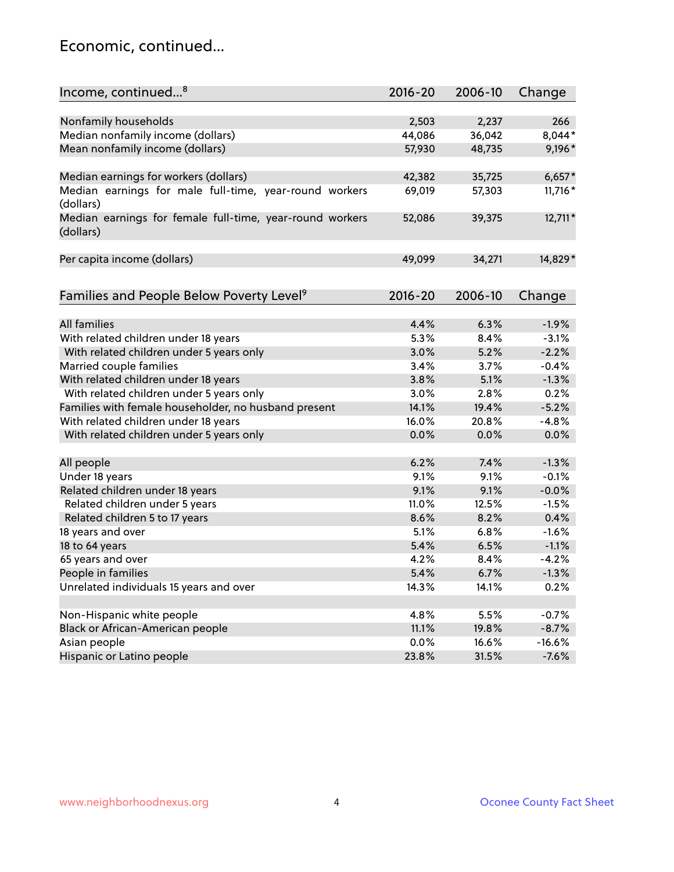### Economic, continued...

| Income, continued <sup>8</sup>                                        | $2016 - 20$ | 2006-10 | Change   |
|-----------------------------------------------------------------------|-------------|---------|----------|
|                                                                       |             |         |          |
| Nonfamily households                                                  | 2,503       | 2,237   | 266      |
| Median nonfamily income (dollars)                                     | 44,086      | 36,042  | 8,044*   |
| Mean nonfamily income (dollars)                                       | 57,930      | 48,735  | 9,196*   |
| Median earnings for workers (dollars)                                 | 42,382      | 35,725  | $6,657*$ |
| Median earnings for male full-time, year-round workers                | 69,019      | 57,303  | 11,716 * |
| (dollars)                                                             |             |         |          |
| Median earnings for female full-time, year-round workers<br>(dollars) | 52,086      | 39,375  | 12,711*  |
| Per capita income (dollars)                                           | 49,099      | 34,271  | 14,829*  |
|                                                                       |             |         |          |
| Families and People Below Poverty Level <sup>9</sup>                  | $2016 - 20$ | 2006-10 | Change   |
|                                                                       |             |         |          |
| <b>All families</b>                                                   | 4.4%        | 6.3%    | $-1.9%$  |
| With related children under 18 years                                  | 5.3%        | 8.4%    | $-3.1%$  |
| With related children under 5 years only                              | 3.0%        | 5.2%    | $-2.2%$  |
| Married couple families                                               | 3.4%        | 3.7%    | $-0.4%$  |
| With related children under 18 years                                  | 3.8%        | 5.1%    | $-1.3%$  |
| With related children under 5 years only                              | 3.0%        | 2.8%    | 0.2%     |
| Families with female householder, no husband present                  | 14.1%       | 19.4%   | $-5.2%$  |
| With related children under 18 years                                  | 16.0%       | 20.8%   | $-4.8%$  |
| With related children under 5 years only                              | 0.0%        | 0.0%    | 0.0%     |
| All people                                                            | 6.2%        | 7.4%    | $-1.3%$  |
| Under 18 years                                                        | 9.1%        | 9.1%    | $-0.1%$  |
| Related children under 18 years                                       | 9.1%        | 9.1%    | $-0.0%$  |
| Related children under 5 years                                        | 11.0%       | 12.5%   | $-1.5%$  |
| Related children 5 to 17 years                                        | 8.6%        | 8.2%    | 0.4%     |
| 18 years and over                                                     | 5.1%        | 6.8%    | $-1.6%$  |
| 18 to 64 years                                                        | 5.4%        | 6.5%    | $-1.1%$  |
| 65 years and over                                                     | 4.2%        | 8.4%    | $-4.2%$  |
| People in families                                                    | 5.4%        | 6.7%    | $-1.3%$  |
| Unrelated individuals 15 years and over                               | 14.3%       | 14.1%   | 0.2%     |
|                                                                       |             |         |          |
| Non-Hispanic white people                                             | 4.8%        | 5.5%    | $-0.7%$  |
| Black or African-American people                                      | 11.1%       | 19.8%   | $-8.7%$  |
| Asian people                                                          | $0.0\%$     | 16.6%   | $-16.6%$ |
| Hispanic or Latino people                                             | 23.8%       | 31.5%   | $-7.6%$  |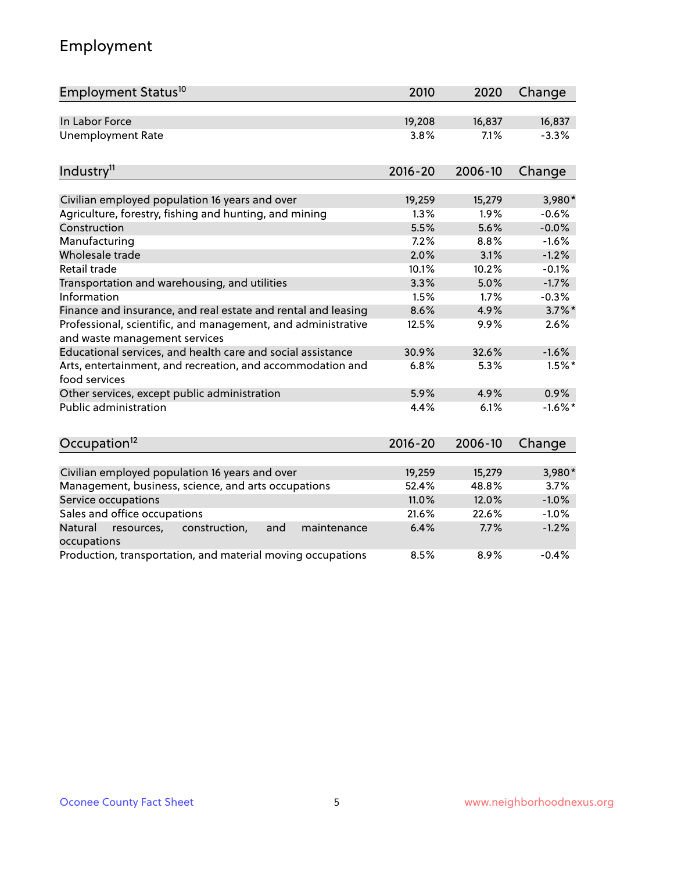## Employment

| Employment Status <sup>10</sup>                                                               | 2010        | 2020    | Change     |
|-----------------------------------------------------------------------------------------------|-------------|---------|------------|
| In Labor Force                                                                                | 19,208      | 16,837  | 16,837     |
| <b>Unemployment Rate</b>                                                                      | 3.8%        | 7.1%    | $-3.3%$    |
| Industry <sup>11</sup>                                                                        | $2016 - 20$ | 2006-10 | Change     |
| Civilian employed population 16 years and over                                                | 19,259      | 15,279  | 3,980*     |
| Agriculture, forestry, fishing and hunting, and mining                                        | 1.3%        | 1.9%    | $-0.6%$    |
| Construction                                                                                  | 5.5%        | 5.6%    | $-0.0%$    |
| Manufacturing                                                                                 | 7.2%        | 8.8%    | $-1.6%$    |
| Wholesale trade                                                                               | 2.0%        | 3.1%    | $-1.2%$    |
| Retail trade                                                                                  | 10.1%       | 10.2%   | $-0.1%$    |
| Transportation and warehousing, and utilities                                                 | 3.3%        | 5.0%    | $-1.7%$    |
| Information                                                                                   | 1.5%        | 1.7%    | $-0.3%$    |
| Finance and insurance, and real estate and rental and leasing                                 | 8.6%        | 4.9%    | $3.7\%$ *  |
| Professional, scientific, and management, and administrative<br>and waste management services | 12.5%       | 9.9%    | 2.6%       |
| Educational services, and health care and social assistance                                   | 30.9%       | 32.6%   | $-1.6%$    |
| Arts, entertainment, and recreation, and accommodation and<br>food services                   | 6.8%        | 5.3%    | $1.5%$ *   |
| Other services, except public administration                                                  | 5.9%        | 4.9%    | 0.9%       |
| <b>Public administration</b>                                                                  | 4.4%        | 6.1%    | $-1.6\%$ * |
| Occupation <sup>12</sup>                                                                      | $2016 - 20$ | 2006-10 | Change     |
|                                                                                               |             |         |            |
| Civilian employed population 16 years and over                                                | 19,259      | 15,279  | 3,980*     |
| Management, business, science, and arts occupations                                           | 52.4%       | 48.8%   | 3.7%       |
| Service occupations                                                                           | 11.0%       | 12.0%   | $-1.0%$    |
| Sales and office occupations                                                                  | 21.6%       | 22.6%   | $-1.0%$    |
| Natural<br>resources,<br>construction,<br>and<br>maintenance<br>occupations                   | 6.4%        | 7.7%    | $-1.2%$    |
| Production, transportation, and material moving occupations                                   | 8.5%        | 8.9%    | $-0.4%$    |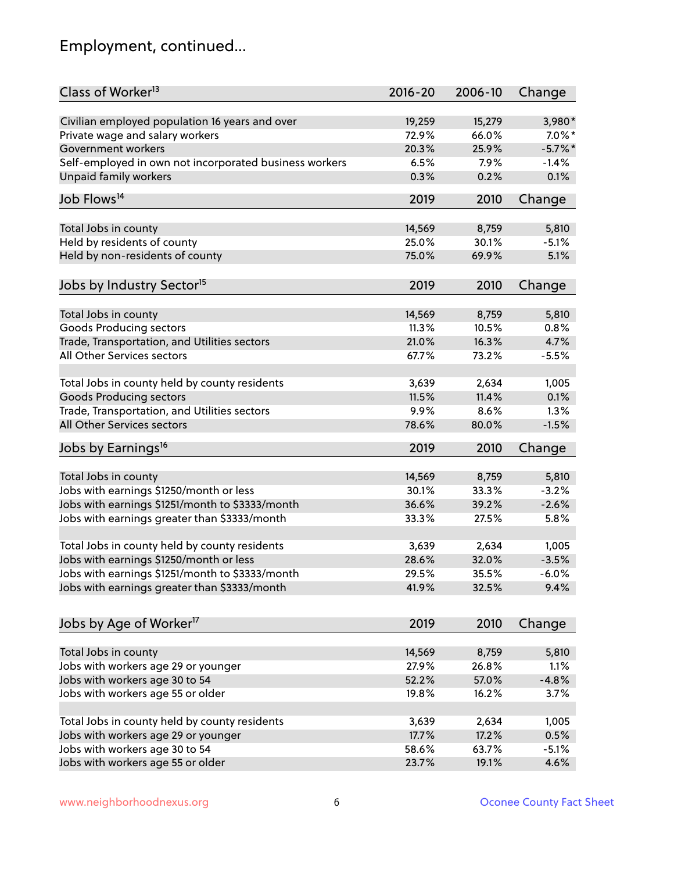## Employment, continued...

| Class of Worker <sup>13</sup>                          | $2016 - 20$ | 2006-10 | Change    |
|--------------------------------------------------------|-------------|---------|-----------|
| Civilian employed population 16 years and over         | 19,259      | 15,279  | 3,980*    |
| Private wage and salary workers                        | 72.9%       | 66.0%   | $7.0\%$ * |
| Government workers                                     | 20.3%       | 25.9%   | $-5.7%$ * |
| Self-employed in own not incorporated business workers | 6.5%        | 7.9%    | $-1.4%$   |
| <b>Unpaid family workers</b>                           | 0.3%        | 0.2%    | 0.1%      |
| Job Flows <sup>14</sup>                                | 2019        | 2010    | Change    |
|                                                        |             |         |           |
| Total Jobs in county                                   | 14,569      | 8,759   | 5,810     |
| Held by residents of county                            | 25.0%       | 30.1%   | $-5.1%$   |
| Held by non-residents of county                        | 75.0%       | 69.9%   | 5.1%      |
| Jobs by Industry Sector <sup>15</sup>                  | 2019        | 2010    | Change    |
| Total Jobs in county                                   | 14,569      | 8,759   | 5,810     |
| <b>Goods Producing sectors</b>                         | 11.3%       | 10.5%   | 0.8%      |
| Trade, Transportation, and Utilities sectors           | 21.0%       | 16.3%   | 4.7%      |
|                                                        |             |         |           |
| All Other Services sectors                             | 67.7%       | 73.2%   | $-5.5%$   |
| Total Jobs in county held by county residents          | 3,639       | 2,634   | 1,005     |
| <b>Goods Producing sectors</b>                         | 11.5%       | 11.4%   | 0.1%      |
| Trade, Transportation, and Utilities sectors           | 9.9%        | 8.6%    | 1.3%      |
| All Other Services sectors                             | 78.6%       | 80.0%   | $-1.5%$   |
| Jobs by Earnings <sup>16</sup>                         | 2019        | 2010    | Change    |
|                                                        |             |         |           |
| Total Jobs in county                                   | 14,569      | 8,759   | 5,810     |
| Jobs with earnings \$1250/month or less                | 30.1%       | 33.3%   | $-3.2%$   |
| Jobs with earnings \$1251/month to \$3333/month        | 36.6%       | 39.2%   | $-2.6%$   |
| Jobs with earnings greater than \$3333/month           | 33.3%       | 27.5%   | 5.8%      |
| Total Jobs in county held by county residents          | 3,639       | 2,634   | 1,005     |
| Jobs with earnings \$1250/month or less                | 28.6%       | 32.0%   | $-3.5%$   |
| Jobs with earnings \$1251/month to \$3333/month        | 29.5%       | 35.5%   | $-6.0\%$  |
| Jobs with earnings greater than \$3333/month           | 41.9%       | 32.5%   | 9.4%      |
|                                                        |             |         |           |
| Jobs by Age of Worker <sup>17</sup>                    | 2019        | 2010    | Change    |
| Total Jobs in county                                   | 14,569      | 8,759   | 5,810     |
| Jobs with workers age 29 or younger                    | 27.9%       | 26.8%   | 1.1%      |
| Jobs with workers age 30 to 54                         | 52.2%       | 57.0%   | $-4.8%$   |
|                                                        |             |         |           |
| Jobs with workers age 55 or older                      | 19.8%       | 16.2%   | 3.7%      |
| Total Jobs in county held by county residents          | 3,639       | 2,634   | 1,005     |
| Jobs with workers age 29 or younger                    | 17.7%       | 17.2%   | 0.5%      |
| Jobs with workers age 30 to 54                         | 58.6%       | 63.7%   | $-5.1%$   |
| Jobs with workers age 55 or older                      | 23.7%       | 19.1%   | 4.6%      |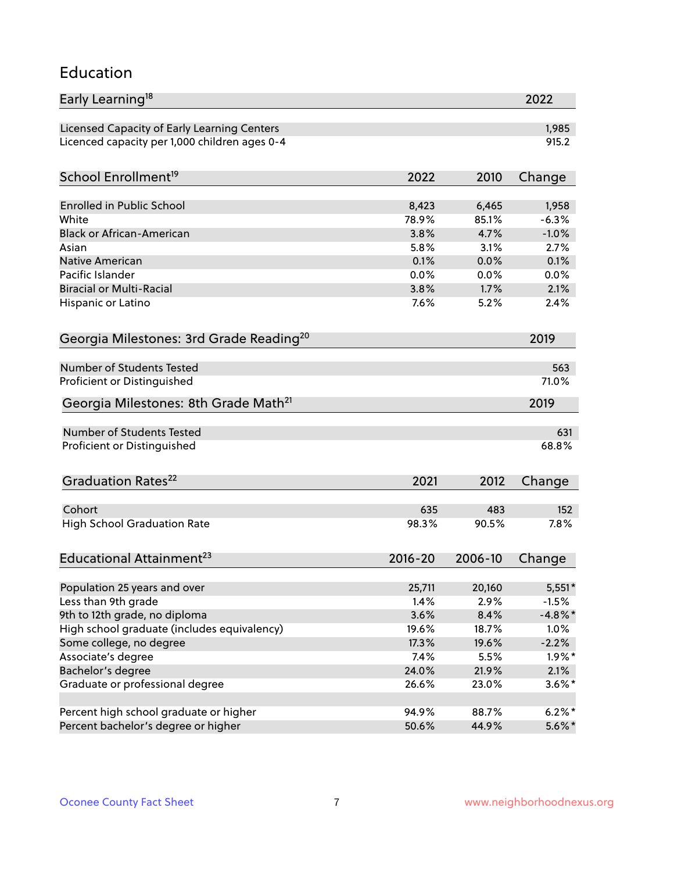#### Education

| Early Learning <sup>18</sup>                        |             |         | 2022       |
|-----------------------------------------------------|-------------|---------|------------|
| Licensed Capacity of Early Learning Centers         |             |         | 1,985      |
| Licenced capacity per 1,000 children ages 0-4       |             |         | 915.2      |
| School Enrollment <sup>19</sup>                     | 2022        | 2010    | Change     |
|                                                     |             |         |            |
| <b>Enrolled in Public School</b>                    | 8,423       | 6,465   | 1,958      |
| White                                               | 78.9%       | 85.1%   | $-6.3%$    |
| <b>Black or African-American</b>                    | 3.8%        | 4.7%    | $-1.0%$    |
| Asian                                               | 5.8%        | 3.1%    | 2.7%       |
| Native American                                     | 0.1%        | 0.0%    | 0.1%       |
| Pacific Islander                                    | 0.0%        | 0.0%    | 0.0%       |
| <b>Biracial or Multi-Racial</b>                     | 3.8%        | 1.7%    | 2.1%       |
| Hispanic or Latino                                  | 7.6%        | 5.2%    | 2.4%       |
| Georgia Milestones: 3rd Grade Reading <sup>20</sup> |             |         | 2019       |
|                                                     |             |         |            |
| Number of Students Tested                           |             |         | 563        |
| Proficient or Distinguished                         |             |         | 71.0%      |
| Georgia Milestones: 8th Grade Math <sup>21</sup>    |             |         | 2019       |
| Number of Students Tested                           |             |         | 631        |
| Proficient or Distinguished                         |             |         | 68.8%      |
|                                                     |             |         |            |
| Graduation Rates <sup>22</sup>                      | 2021        | 2012    | Change     |
| Cohort                                              | 635         | 483     | 152        |
| <b>High School Graduation Rate</b>                  | 98.3%       | 90.5%   | 7.8%       |
|                                                     |             |         |            |
| Educational Attainment <sup>23</sup>                | $2016 - 20$ | 2006-10 | Change     |
|                                                     | 25,711      | 20,160  | $5,551*$   |
| Population 25 years and over<br>Less than 9th grade | 1.4%        | 2.9%    | $-1.5%$    |
| 9th to 12th grade, no diploma                       | 3.6%        | 8.4%    | $-4.8\%$ * |
| High school graduate (includes equivalency)         | 19.6%       | 18.7%   | 1.0%       |
|                                                     | 17.3%       | 19.6%   | $-2.2%$    |
| Some college, no degree                             |             |         |            |
| Associate's degree                                  | 7.4%        | 5.5%    | $1.9\%$ *  |
| Bachelor's degree                                   | 24.0%       | 21.9%   | 2.1%       |
| Graduate or professional degree                     | 26.6%       | 23.0%   | $3.6\%$ *  |
| Percent high school graduate or higher              | 94.9%       | 88.7%   | $6.2\%$ *  |
| Percent bachelor's degree or higher                 | 50.6%       | 44.9%   | $5.6\%$ *  |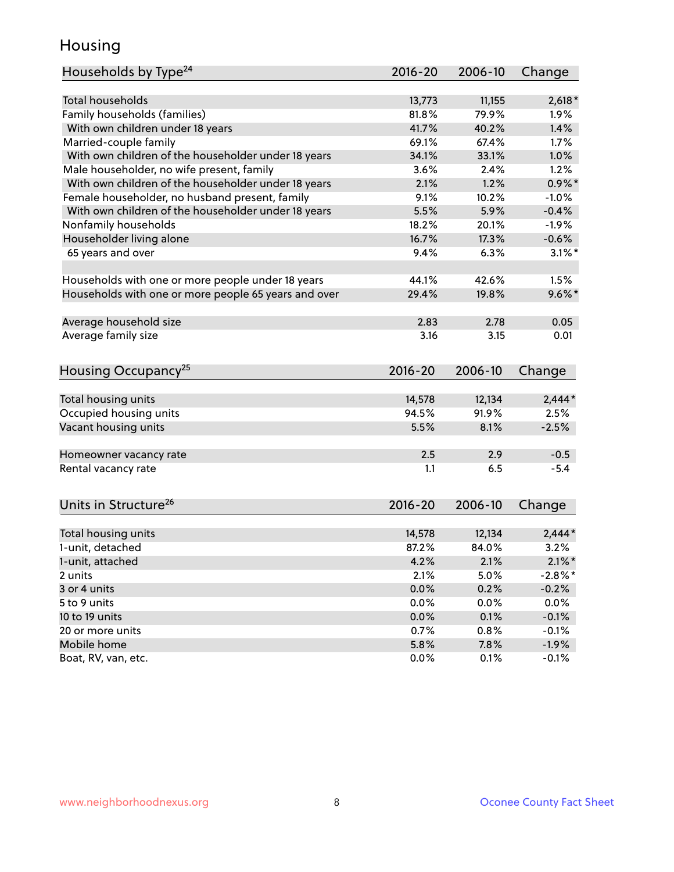### Housing

| Households by Type <sup>24</sup>                     | $2016 - 20$ | 2006-10 | Change     |
|------------------------------------------------------|-------------|---------|------------|
|                                                      |             |         |            |
| <b>Total households</b>                              | 13,773      | 11,155  | $2,618*$   |
| Family households (families)                         | 81.8%       | 79.9%   | 1.9%       |
| With own children under 18 years                     | 41.7%       | 40.2%   | 1.4%       |
| Married-couple family                                | 69.1%       | 67.4%   | 1.7%       |
| With own children of the householder under 18 years  | 34.1%       | 33.1%   | 1.0%       |
| Male householder, no wife present, family            | 3.6%        | 2.4%    | 1.2%       |
| With own children of the householder under 18 years  | 2.1%        | 1.2%    | $0.9\%$ *  |
| Female householder, no husband present, family       | 9.1%        | 10.2%   | $-1.0%$    |
| With own children of the householder under 18 years  | 5.5%        | 5.9%    | $-0.4%$    |
| Nonfamily households                                 | 18.2%       | 20.1%   | $-1.9%$    |
| Householder living alone                             | 16.7%       | 17.3%   | $-0.6%$    |
| 65 years and over                                    | 9.4%        | 6.3%    | $3.1\%$ *  |
|                                                      |             |         |            |
| Households with one or more people under 18 years    | 44.1%       | 42.6%   | 1.5%       |
| Households with one or more people 65 years and over | 29.4%       | 19.8%   | $9.6\%$ *  |
|                                                      |             |         |            |
| Average household size                               | 2.83        | 2.78    | 0.05       |
| Average family size                                  | 3.16        | 3.15    | 0.01       |
|                                                      |             |         |            |
| Housing Occupancy <sup>25</sup>                      | $2016 - 20$ | 2006-10 | Change     |
|                                                      |             |         |            |
| Total housing units                                  | 14,578      | 12,134  | $2,444*$   |
| Occupied housing units                               | 94.5%       | 91.9%   | 2.5%       |
| Vacant housing units                                 | 5.5%        | 8.1%    | $-2.5%$    |
|                                                      |             |         |            |
| Homeowner vacancy rate                               | 2.5         | 2.9     | $-0.5$     |
| Rental vacancy rate                                  | 1.1         | 6.5     | $-5.4$     |
|                                                      |             |         |            |
|                                                      |             | 2006-10 |            |
| Units in Structure <sup>26</sup>                     | $2016 - 20$ |         | Change     |
| Total housing units                                  | 14,578      | 12,134  | $2,444*$   |
| 1-unit, detached                                     | 87.2%       | 84.0%   | 3.2%       |
| 1-unit, attached                                     | 4.2%        | 2.1%    | $2.1\%$ *  |
|                                                      | 2.1%        | 5.0%    | $-2.8\%$ * |
| 2 units<br>3 or 4 units                              | 0.0%        | 0.2%    | $-0.2%$    |
| 5 to 9 units                                         |             |         |            |
|                                                      | 0.0%        | 0.0%    | 0.0%       |
| 10 to 19 units                                       | 0.0%        | 0.1%    | $-0.1%$    |
| 20 or more units                                     | 0.7%        | 0.8%    | $-0.1%$    |
| Mobile home                                          | 5.8%        | 7.8%    | $-1.9%$    |
| Boat, RV, van, etc.                                  | 0.0%        | 0.1%    | $-0.1%$    |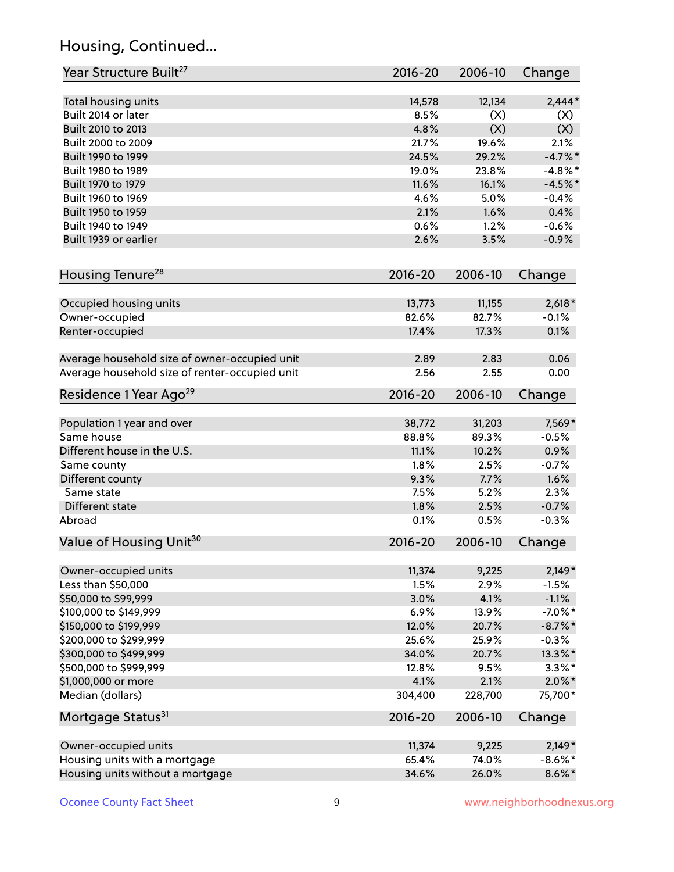## Housing, Continued...

| Year Structure Built <sup>27</sup>             | 2016-20     | 2006-10 | Change     |
|------------------------------------------------|-------------|---------|------------|
| Total housing units                            | 14,578      | 12,134  | $2,444*$   |
| Built 2014 or later                            | 8.5%        | (X)     | (X)        |
| Built 2010 to 2013                             | 4.8%        | (X)     | (X)        |
| Built 2000 to 2009                             | 21.7%       | 19.6%   | 2.1%       |
| Built 1990 to 1999                             | 24.5%       | 29.2%   | $-4.7%$ *  |
| Built 1980 to 1989                             | 19.0%       | 23.8%   | $-4.8\%$ * |
| Built 1970 to 1979                             | 11.6%       | 16.1%   | $-4.5%$ *  |
| Built 1960 to 1969                             | 4.6%        | 5.0%    | $-0.4%$    |
| Built 1950 to 1959                             | 2.1%        | 1.6%    | 0.4%       |
| Built 1940 to 1949                             | 0.6%        | 1.2%    | $-0.6%$    |
| Built 1939 or earlier                          | 2.6%        | 3.5%    | $-0.9%$    |
| Housing Tenure <sup>28</sup>                   | $2016 - 20$ | 2006-10 | Change     |
| Occupied housing units                         | 13,773      | 11,155  | $2,618*$   |
| Owner-occupied                                 | 82.6%       | 82.7%   | $-0.1%$    |
| Renter-occupied                                | 17.4%       | 17.3%   | 0.1%       |
| Average household size of owner-occupied unit  | 2.89        | 2.83    | 0.06       |
| Average household size of renter-occupied unit | 2.56        | 2.55    | 0.00       |
| Residence 1 Year Ago <sup>29</sup>             | 2016-20     | 2006-10 | Change     |
| Population 1 year and over                     | 38,772      | 31,203  | 7,569*     |
| Same house                                     | 88.8%       | 89.3%   | $-0.5%$    |
| Different house in the U.S.                    | 11.1%       | 10.2%   | 0.9%       |
| Same county                                    | 1.8%        | 2.5%    | $-0.7%$    |
| Different county                               | 9.3%        | 7.7%    | 1.6%       |
| Same state                                     | 7.5%        | 5.2%    | 2.3%       |
| Different state                                | 1.8%        | 2.5%    | $-0.7%$    |
| Abroad                                         | 0.1%        | 0.5%    | $-0.3%$    |
| Value of Housing Unit <sup>30</sup>            | $2016 - 20$ | 2006-10 | Change     |
| Owner-occupied units                           | 11,374      | 9,225   | $2,149*$   |
| Less than \$50,000                             | 1.5%        | 2.9%    | $-1.5%$    |
| \$50,000 to \$99,999                           | 3.0%        | 4.1%    | $-1.1%$    |
| \$100,000 to \$149,999                         | 6.9%        | 13.9%   | $-7.0\%$ * |
| \$150,000 to \$199,999                         | 12.0%       | 20.7%   | $-8.7\%$ * |
| \$200,000 to \$299,999                         | 25.6%       | 25.9%   | $-0.3%$    |
| \$300,000 to \$499,999                         | 34.0%       | 20.7%   | 13.3%*     |
| \$500,000 to \$999,999                         | 12.8%       | 9.5%    | $3.3\%$ *  |
| \$1,000,000 or more                            | 4.1%        | 2.1%    | $2.0\%$ *  |
| Median (dollars)                               | 304,400     | 228,700 | 75,700*    |
| Mortgage Status <sup>31</sup>                  | $2016 - 20$ | 2006-10 | Change     |
| Owner-occupied units                           | 11,374      | 9,225   | $2,149*$   |
| Housing units with a mortgage                  | 65.4%       | 74.0%   | $-8.6\%$ * |
| Housing units without a mortgage               | 34.6%       | 26.0%   | $8.6\%$ *  |
|                                                |             |         |            |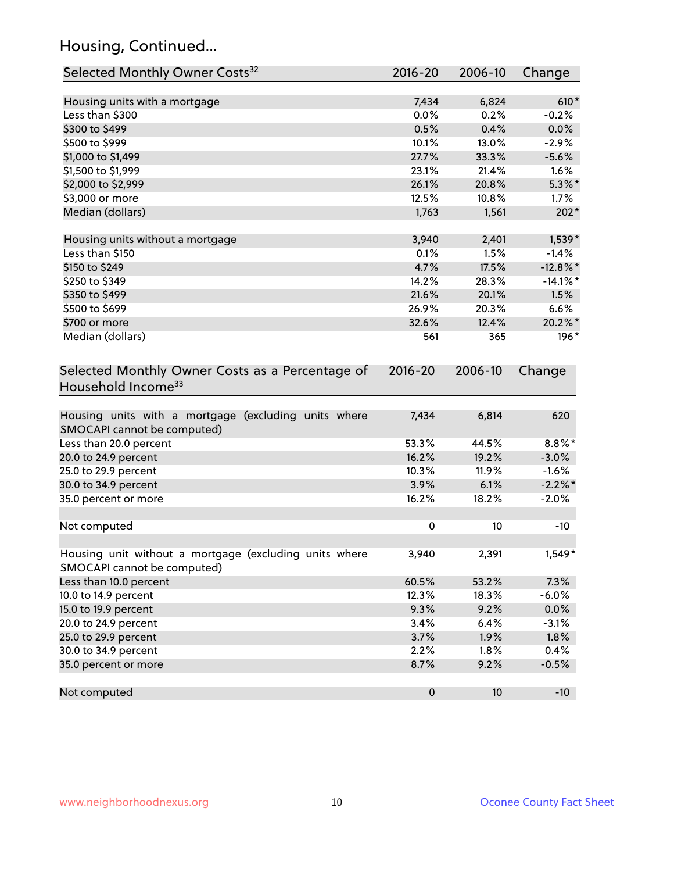## Housing, Continued...

| Selected Monthly Owner Costs <sup>32</sup>                                            | $2016 - 20$ | 2006-10 | Change      |
|---------------------------------------------------------------------------------------|-------------|---------|-------------|
| Housing units with a mortgage                                                         | 7,434       | 6,824   | $610*$      |
| Less than \$300                                                                       | 0.0%        | 0.2%    | $-0.2%$     |
| \$300 to \$499                                                                        | 0.5%        | 0.4%    | 0.0%        |
| \$500 to \$999                                                                        | 10.1%       | 13.0%   | $-2.9%$     |
| \$1,000 to \$1,499                                                                    | 27.7%       | 33.3%   | $-5.6%$     |
| \$1,500 to \$1,999                                                                    | 23.1%       | 21.4%   | 1.6%        |
| \$2,000 to \$2,999                                                                    | 26.1%       | 20.8%   | $5.3\%$ *   |
| \$3,000 or more                                                                       | 12.5%       | 10.8%   | 1.7%        |
| Median (dollars)                                                                      | 1,763       | 1,561   | $202*$      |
| Housing units without a mortgage                                                      | 3,940       | 2,401   | $1,539*$    |
| Less than \$150                                                                       | 0.1%        | 1.5%    | $-1.4%$     |
| \$150 to \$249                                                                        | 4.7%        | 17.5%   | $-12.8\%$ * |
| \$250 to \$349                                                                        | 14.2%       | 28.3%   | $-14.1\%$ * |
| \$350 to \$499                                                                        | 21.6%       | 20.1%   | 1.5%        |
| \$500 to \$699                                                                        | 26.9%       | 20.3%   | 6.6%        |
| \$700 or more                                                                         | 32.6%       | 12.4%   | 20.2%*      |
| Median (dollars)                                                                      | 561         | 365     | 196*        |
| Selected Monthly Owner Costs as a Percentage of<br>Household Income <sup>33</sup>     | $2016 - 20$ | 2006-10 | Change      |
| Housing units with a mortgage (excluding units where<br>SMOCAPI cannot be computed)   | 7,434       | 6,814   | 620         |
| Less than 20.0 percent                                                                | 53.3%       | 44.5%   | $8.8\%$ *   |
| 20.0 to 24.9 percent                                                                  | 16.2%       | 19.2%   | $-3.0%$     |
| 25.0 to 29.9 percent                                                                  | 10.3%       | 11.9%   | $-1.6%$     |
| 30.0 to 34.9 percent                                                                  | 3.9%        | 6.1%    | $-2.2\%$ *  |
| 35.0 percent or more                                                                  | 16.2%       | 18.2%   | $-2.0%$     |
| Not computed                                                                          | $\pmb{0}$   | 10      | $-10$       |
| Housing unit without a mortgage (excluding units where<br>SMOCAPI cannot be computed) | 3,940       | 2,391   | $1,549*$    |
| Less than 10.0 percent                                                                | 60.5%       | 53.2%   | 7.3%        |
| 10.0 to 14.9 percent                                                                  | 12.3%       | 18.3%   | $-6.0%$     |
| 15.0 to 19.9 percent                                                                  | 9.3%        | 9.2%    | 0.0%        |
| 20.0 to 24.9 percent                                                                  | 3.4%        | 6.4%    | $-3.1%$     |
| 25.0 to 29.9 percent                                                                  | 3.7%        | 1.9%    | 1.8%        |
| 30.0 to 34.9 percent                                                                  | 2.2%        | 1.8%    | 0.4%        |
| 35.0 percent or more                                                                  | 8.7%        | 9.2%    | $-0.5%$     |
| Not computed                                                                          | $\pmb{0}$   | 10      | $-10$       |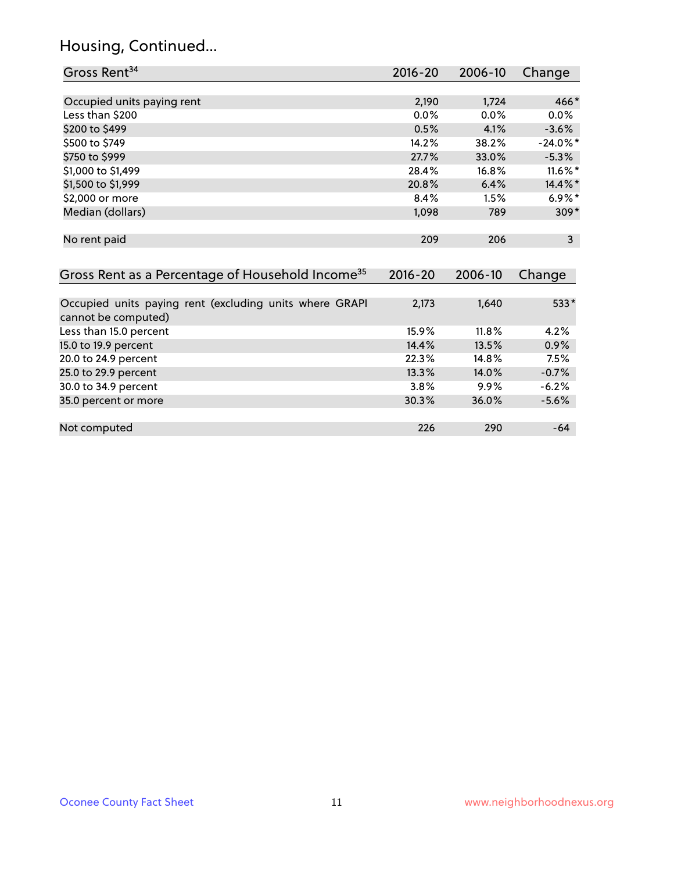## Housing, Continued...

| Gross Rent <sup>34</sup>                                                       | 2016-20     | 2006-10 | Change       |
|--------------------------------------------------------------------------------|-------------|---------|--------------|
|                                                                                |             |         |              |
| Occupied units paying rent                                                     | 2,190       | 1,724   | 466*         |
| Less than \$200                                                                | 0.0%        | 0.0%    | 0.0%         |
| \$200 to \$499                                                                 | 0.5%        | 4.1%    | $-3.6%$      |
| \$500 to \$749                                                                 | 14.2%       | 38.2%   | $-24.0\%$ *  |
| \$750 to \$999                                                                 | 27.7%       | 33.0%   | $-5.3%$      |
| \$1,000 to \$1,499                                                             | 28.4%       | 16.8%   | 11.6%*       |
| \$1,500 to \$1,999                                                             | 20.8%       | 6.4%    | 14.4%*       |
| \$2,000 or more                                                                | 8.4%        | 1.5%    | $6.9\%*$     |
| Median (dollars)                                                               | 1,098       | 789     | $309*$       |
| No rent paid                                                                   | 209         | 206     | $\mathbf{3}$ |
| Gross Rent as a Percentage of Household Income <sup>35</sup>                   | $2016 - 20$ | 2006-10 | Change       |
| Occupied units paying rent (excluding units where GRAPI<br>cannot be computed) | 2,173       | 1,640   | $533*$       |
| Less than 15.0 percent                                                         | 15.9%       | 11.8%   | 4.2%         |
| 15.0 to 19.9 percent                                                           | 14.4%       | 13.5%   | 0.9%         |
| 20.0 to 24.9 percent                                                           | 22.3%       | 14.8%   | 7.5%         |
| 25.0 to 29.9 percent                                                           | 13.3%       | 14.0%   | $-0.7%$      |
| 30.0 to 34.9 percent                                                           | 3.8%        | 9.9%    | $-6.2%$      |
| 35.0 percent or more                                                           | 30.3%       | 36.0%   | $-5.6%$      |
| Not computed                                                                   | 226         | 290     | $-64$        |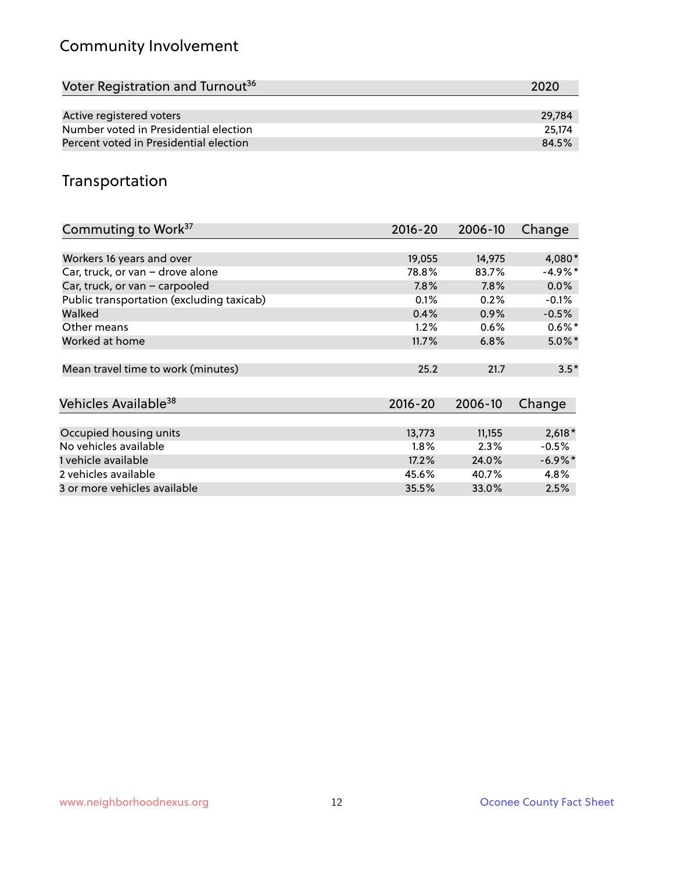## Community Involvement

| Voter Registration and Turnout <sup>36</sup> | 2020   |
|----------------------------------------------|--------|
|                                              |        |
| Active registered voters                     | 29.784 |
| Number voted in Presidential election        | 25.174 |
| Percent voted in Presidential election       | 84.5%  |
|                                              |        |

## Transportation

| Commuting to Work <sup>37</sup>           | 2016-20     | 2006-10 | Change     |
|-------------------------------------------|-------------|---------|------------|
|                                           |             |         |            |
| Workers 16 years and over                 | 19,055      | 14,975  | 4,080*     |
| Car, truck, or van - drove alone          | 78.8%       | 83.7%   | $-4.9%$ *  |
| Car, truck, or van - carpooled            | 7.8%        | 7.8%    | $0.0\%$    |
| Public transportation (excluding taxicab) | 0.1%        | 0.2%    | $-0.1%$    |
| Walked                                    | 0.4%        | 0.9%    | $-0.5%$    |
| Other means                               | 1.2%        | 0.6%    | $0.6\%*$   |
| Worked at home                            | 11.7%       | 6.8%    | $5.0\%$ *  |
|                                           |             |         |            |
| Mean travel time to work (minutes)        | 25.2        | 21.7    | $3.5*$     |
|                                           |             |         |            |
| Vehicles Available <sup>38</sup>          | $2016 - 20$ | 2006-10 | Change     |
|                                           |             |         |            |
| Occupied housing units                    | 13,773      | 11,155  | $2,618*$   |
| No vehicles available                     | 1.8%        | 2.3%    | $-0.5%$    |
| 1 vehicle available                       | 17.2%       | 24.0%   | $-6.9\%$ * |
| 2 vehicles available                      | 45.6%       | 40.7%   | 4.8%       |
| 3 or more vehicles available              | 35.5%       | 33.0%   | 2.5%       |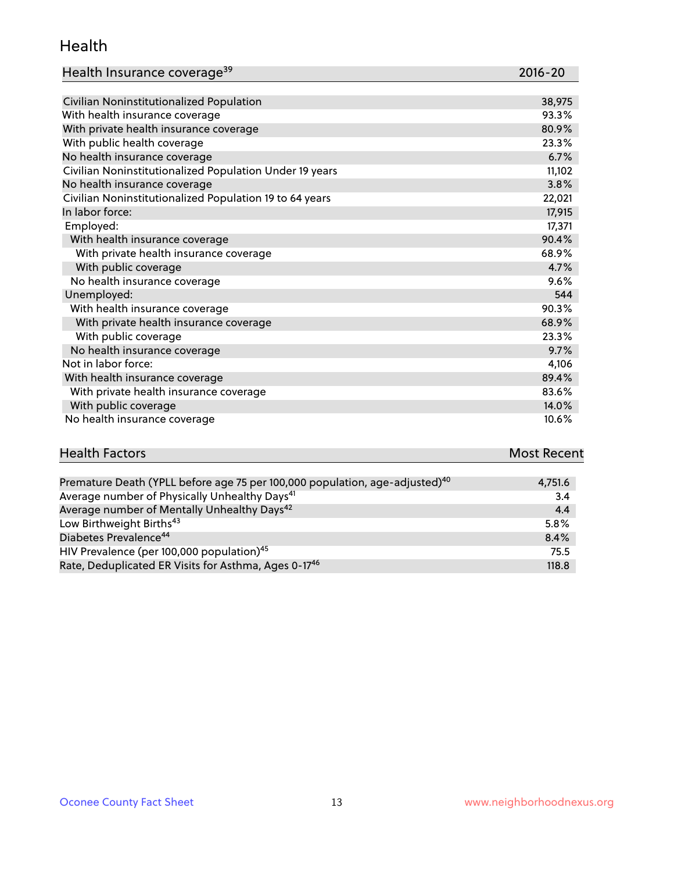#### Health

| Health Insurance coverage <sup>39</sup> | 2016-20 |
|-----------------------------------------|---------|
|-----------------------------------------|---------|

| Civilian Noninstitutionalized Population                | 38,975 |
|---------------------------------------------------------|--------|
| With health insurance coverage                          | 93.3%  |
| With private health insurance coverage                  | 80.9%  |
| With public health coverage                             | 23.3%  |
| No health insurance coverage                            | 6.7%   |
| Civilian Noninstitutionalized Population Under 19 years | 11,102 |
| No health insurance coverage                            | 3.8%   |
| Civilian Noninstitutionalized Population 19 to 64 years | 22,021 |
| In labor force:                                         | 17,915 |
| Employed:                                               | 17,371 |
| With health insurance coverage                          | 90.4%  |
| With private health insurance coverage                  | 68.9%  |
| With public coverage                                    | 4.7%   |
| No health insurance coverage                            | 9.6%   |
| Unemployed:                                             | 544    |
| With health insurance coverage                          | 90.3%  |
| With private health insurance coverage                  | 68.9%  |
| With public coverage                                    | 23.3%  |
| No health insurance coverage                            | 9.7%   |
| Not in labor force:                                     | 4,106  |
| With health insurance coverage                          | 89.4%  |
| With private health insurance coverage                  | 83.6%  |
| With public coverage                                    | 14.0%  |
| No health insurance coverage                            | 10.6%  |

## **Health Factors Most Recent** And The Control of the Control of The Control of The Control of The Control of The Control of The Control of The Control of The Control of The Control of The Control of The Control of The Contr

| Premature Death (YPLL before age 75 per 100,000 population, age-adjusted) <sup>40</sup> | 4,751.6 |
|-----------------------------------------------------------------------------------------|---------|
| Average number of Physically Unhealthy Days <sup>41</sup>                               | 3.4     |
| Average number of Mentally Unhealthy Days <sup>42</sup>                                 | 4.4     |
| Low Birthweight Births <sup>43</sup>                                                    | 5.8%    |
| Diabetes Prevalence <sup>44</sup>                                                       | 8.4%    |
| HIV Prevalence (per 100,000 population) <sup>45</sup>                                   | 75.5    |
| Rate, Deduplicated ER Visits for Asthma, Ages 0-17 <sup>46</sup>                        | 118.8   |